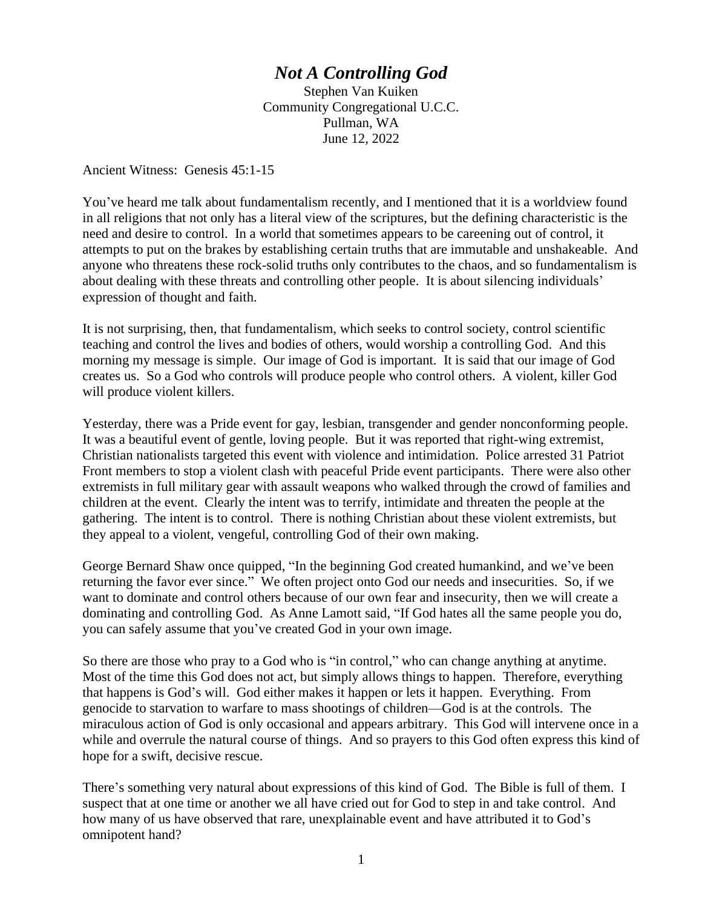## *Not A Controlling God*

Stephen Van Kuiken Community Congregational U.C.C. Pullman, WA June 12, 2022

Ancient Witness: Genesis 45:1-15

You've heard me talk about fundamentalism recently, and I mentioned that it is a worldview found in all religions that not only has a literal view of the scriptures, but the defining characteristic is the need and desire to control. In a world that sometimes appears to be careening out of control, it attempts to put on the brakes by establishing certain truths that are immutable and unshakeable. And anyone who threatens these rock-solid truths only contributes to the chaos, and so fundamentalism is about dealing with these threats and controlling other people. It is about silencing individuals' expression of thought and faith.

It is not surprising, then, that fundamentalism, which seeks to control society, control scientific teaching and control the lives and bodies of others, would worship a controlling God. And this morning my message is simple. Our image of God is important. It is said that our image of God creates us. So a God who controls will produce people who control others. A violent, killer God will produce violent killers.

Yesterday, there was a Pride event for gay, lesbian, transgender and gender nonconforming people. It was a beautiful event of gentle, loving people. But it was reported that right-wing extremist, Christian nationalists targeted this event with violence and intimidation. Police arrested 31 Patriot Front members to stop a violent clash with peaceful Pride event participants. There were also other extremists in full military gear with assault weapons who walked through the crowd of families and children at the event. Clearly the intent was to terrify, intimidate and threaten the people at the gathering. The intent is to control. There is nothing Christian about these violent extremists, but they appeal to a violent, vengeful, controlling God of their own making.

George Bernard Shaw once quipped, "In the beginning God created humankind, and we've been returning the favor ever since." We often project onto God our needs and insecurities. So, if we want to dominate and control others because of our own fear and insecurity, then we will create a dominating and controlling God. As Anne Lamott said, "If God hates all the same people you do, you can safely assume that you've created God in your own image.

So there are those who pray to a God who is "in control," who can change anything at anytime. Most of the time this God does not act, but simply allows things to happen. Therefore, everything that happens is God's will. God either makes it happen or lets it happen. Everything. From genocide to starvation to warfare to mass shootings of children—God is at the controls. The miraculous action of God is only occasional and appears arbitrary. This God will intervene once in a while and overrule the natural course of things. And so prayers to this God often express this kind of hope for a swift, decisive rescue.

There's something very natural about expressions of this kind of God. The Bible is full of them. I suspect that at one time or another we all have cried out for God to step in and take control. And how many of us have observed that rare, unexplainable event and have attributed it to God's omnipotent hand?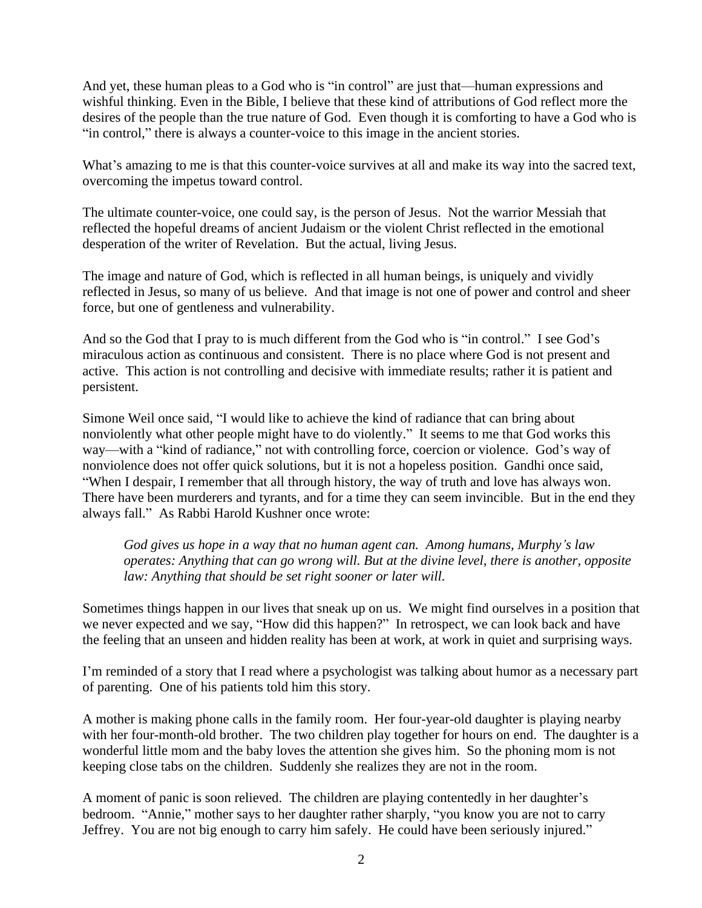And yet, these human pleas to a God who is "in control" are just that—human expressions and wishful thinking. Even in the Bible, I believe that these kind of attributions of God reflect more the desires of the people than the true nature of God. Even though it is comforting to have a God who is "in control," there is always a counter-voice to this image in the ancient stories.

What's amazing to me is that this counter-voice survives at all and make its way into the sacred text, overcoming the impetus toward control.

The ultimate counter-voice, one could say, is the person of Jesus. Not the warrior Messiah that reflected the hopeful dreams of ancient Judaism or the violent Christ reflected in the emotional desperation of the writer of Revelation. But the actual, living Jesus.

The image and nature of God, which is reflected in all human beings, is uniquely and vividly reflected in Jesus, so many of us believe. And that image is not one of power and control and sheer force, but one of gentleness and vulnerability.

And so the God that I pray to is much different from the God who is "in control." I see God's miraculous action as continuous and consistent. There is no place where God is not present and active. This action is not controlling and decisive with immediate results; rather it is patient and persistent.

Simone Weil once said, "I would like to achieve the kind of radiance that can bring about nonviolently what other people might have to do violently." It seems to me that God works this way—with a "kind of radiance," not with controlling force, coercion or violence. God's way of nonviolence does not offer quick solutions, but it is not a hopeless position. Gandhi once said, "When I despair, I remember that all through history, the way of truth and love has always won. There have been murderers and tyrants, and for a time they can seem invincible. But in the end they always fall." As Rabbi Harold Kushner once wrote:

*God gives us hope in a way that no human agent can. Among humans, Murphy's law operates: Anything that can go wrong will. But at the divine level, there is another, opposite law: Anything that should be set right sooner or later will.*

Sometimes things happen in our lives that sneak up on us. We might find ourselves in a position that we never expected and we say, "How did this happen?" In retrospect, we can look back and have the feeling that an unseen and hidden reality has been at work, at work in quiet and surprising ways.

I'm reminded of a story that I read where a psychologist was talking about humor as a necessary part of parenting. One of his patients told him this story.

A mother is making phone calls in the family room. Her four-year-old daughter is playing nearby with her four-month-old brother. The two children play together for hours on end. The daughter is a wonderful little mom and the baby loves the attention she gives him. So the phoning mom is not keeping close tabs on the children. Suddenly she realizes they are not in the room.

A moment of panic is soon relieved. The children are playing contentedly in her daughter's bedroom. "Annie," mother says to her daughter rather sharply, "you know you are not to carry Jeffrey. You are not big enough to carry him safely. He could have been seriously injured."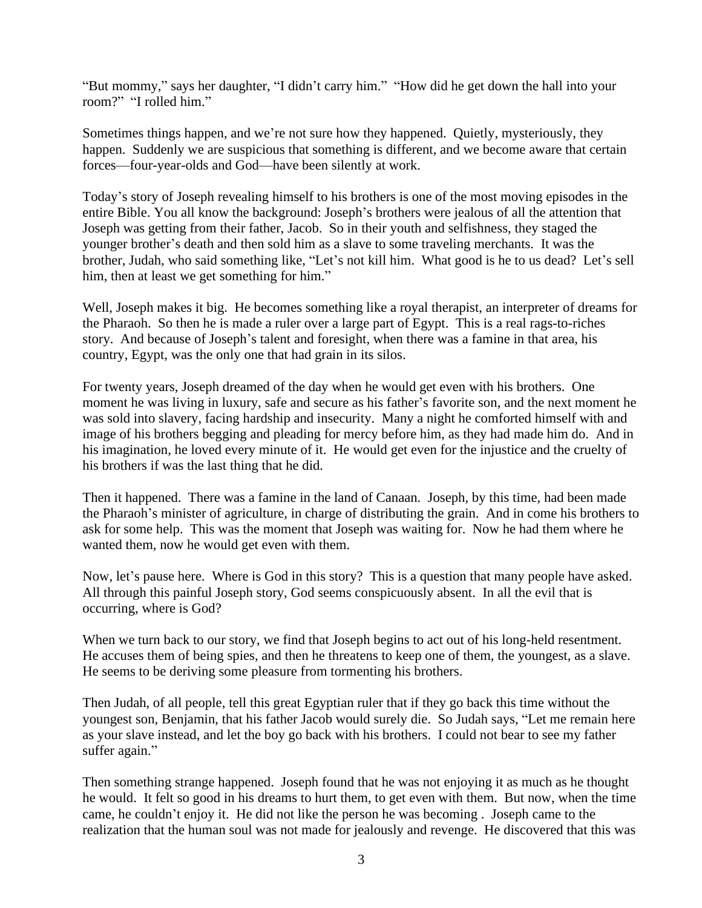"But mommy," says her daughter, "I didn't carry him." "How did he get down the hall into your room?" "I rolled him."

Sometimes things happen, and we're not sure how they happened. Quietly, mysteriously, they happen. Suddenly we are suspicious that something is different, and we become aware that certain forces—four-year-olds and God—have been silently at work.

Today's story of Joseph revealing himself to his brothers is one of the most moving episodes in the entire Bible. You all know the background: Joseph's brothers were jealous of all the attention that Joseph was getting from their father, Jacob. So in their youth and selfishness, they staged the younger brother's death and then sold him as a slave to some traveling merchants. It was the brother, Judah, who said something like, "Let's not kill him. What good is he to us dead? Let's sell him, then at least we get something for him."

Well, Joseph makes it big. He becomes something like a royal therapist, an interpreter of dreams for the Pharaoh. So then he is made a ruler over a large part of Egypt. This is a real rags-to-riches story. And because of Joseph's talent and foresight, when there was a famine in that area, his country, Egypt, was the only one that had grain in its silos.

For twenty years, Joseph dreamed of the day when he would get even with his brothers. One moment he was living in luxury, safe and secure as his father's favorite son, and the next moment he was sold into slavery, facing hardship and insecurity. Many a night he comforted himself with and image of his brothers begging and pleading for mercy before him, as they had made him do. And in his imagination, he loved every minute of it. He would get even for the injustice and the cruelty of his brothers if was the last thing that he did.

Then it happened. There was a famine in the land of Canaan. Joseph, by this time, had been made the Pharaoh's minister of agriculture, in charge of distributing the grain. And in come his brothers to ask for some help. This was the moment that Joseph was waiting for. Now he had them where he wanted them, now he would get even with them.

Now, let's pause here. Where is God in this story? This is a question that many people have asked. All through this painful Joseph story, God seems conspicuously absent. In all the evil that is occurring, where is God?

When we turn back to our story, we find that Joseph begins to act out of his long-held resentment. He accuses them of being spies, and then he threatens to keep one of them, the youngest, as a slave. He seems to be deriving some pleasure from tormenting his brothers.

Then Judah, of all people, tell this great Egyptian ruler that if they go back this time without the youngest son, Benjamin, that his father Jacob would surely die. So Judah says, "Let me remain here as your slave instead, and let the boy go back with his brothers. I could not bear to see my father suffer again."

Then something strange happened. Joseph found that he was not enjoying it as much as he thought he would. It felt so good in his dreams to hurt them, to get even with them. But now, when the time came, he couldn't enjoy it. He did not like the person he was becoming . Joseph came to the realization that the human soul was not made for jealously and revenge. He discovered that this was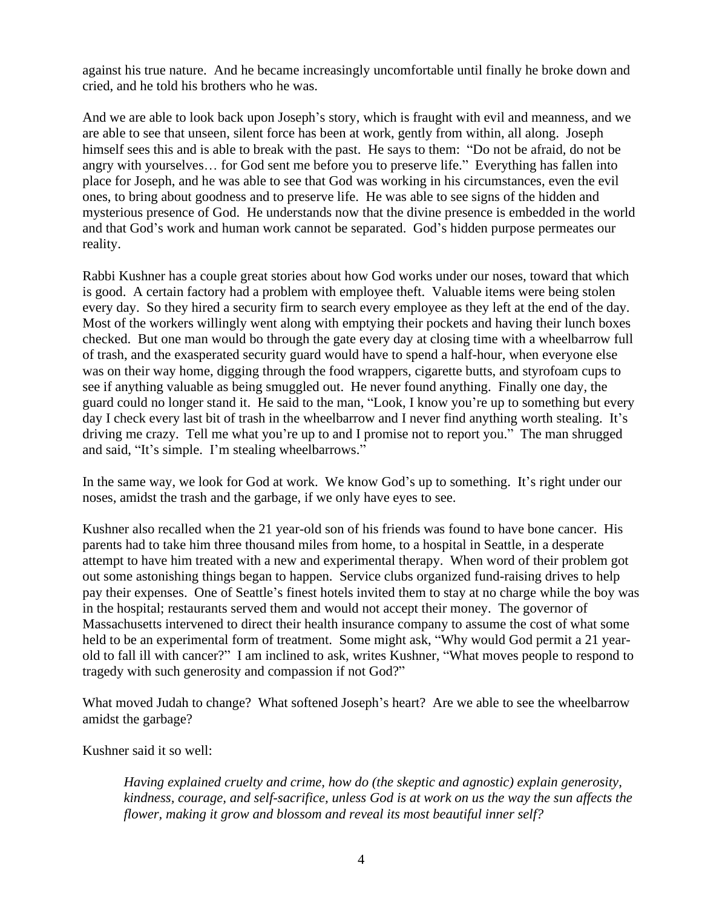against his true nature. And he became increasingly uncomfortable until finally he broke down and cried, and he told his brothers who he was.

And we are able to look back upon Joseph's story, which is fraught with evil and meanness, and we are able to see that unseen, silent force has been at work, gently from within, all along. Joseph himself sees this and is able to break with the past. He says to them: "Do not be afraid, do not be angry with yourselves… for God sent me before you to preserve life." Everything has fallen into place for Joseph, and he was able to see that God was working in his circumstances, even the evil ones, to bring about goodness and to preserve life. He was able to see signs of the hidden and mysterious presence of God. He understands now that the divine presence is embedded in the world and that God's work and human work cannot be separated. God's hidden purpose permeates our reality.

Rabbi Kushner has a couple great stories about how God works under our noses, toward that which is good. A certain factory had a problem with employee theft. Valuable items were being stolen every day. So they hired a security firm to search every employee as they left at the end of the day. Most of the workers willingly went along with emptying their pockets and having their lunch boxes checked. But one man would bo through the gate every day at closing time with a wheelbarrow full of trash, and the exasperated security guard would have to spend a half-hour, when everyone else was on their way home, digging through the food wrappers, cigarette butts, and styrofoam cups to see if anything valuable as being smuggled out. He never found anything. Finally one day, the guard could no longer stand it. He said to the man, "Look, I know you're up to something but every day I check every last bit of trash in the wheelbarrow and I never find anything worth stealing. It's driving me crazy. Tell me what you're up to and I promise not to report you." The man shrugged and said, "It's simple. I'm stealing wheelbarrows."

In the same way, we look for God at work. We know God's up to something. It's right under our noses, amidst the trash and the garbage, if we only have eyes to see.

Kushner also recalled when the 21 year-old son of his friends was found to have bone cancer. His parents had to take him three thousand miles from home, to a hospital in Seattle, in a desperate attempt to have him treated with a new and experimental therapy. When word of their problem got out some astonishing things began to happen. Service clubs organized fund-raising drives to help pay their expenses. One of Seattle's finest hotels invited them to stay at no charge while the boy was in the hospital; restaurants served them and would not accept their money. The governor of Massachusetts intervened to direct their health insurance company to assume the cost of what some held to be an experimental form of treatment. Some might ask, "Why would God permit a 21 yearold to fall ill with cancer?" I am inclined to ask, writes Kushner, "What moves people to respond to tragedy with such generosity and compassion if not God?"

What moved Judah to change? What softened Joseph's heart? Are we able to see the wheelbarrow amidst the garbage?

Kushner said it so well:

*Having explained cruelty and crime, how do (the skeptic and agnostic) explain generosity, kindness, courage, and self-sacrifice, unless God is at work on us the way the sun affects the flower, making it grow and blossom and reveal its most beautiful inner self?*